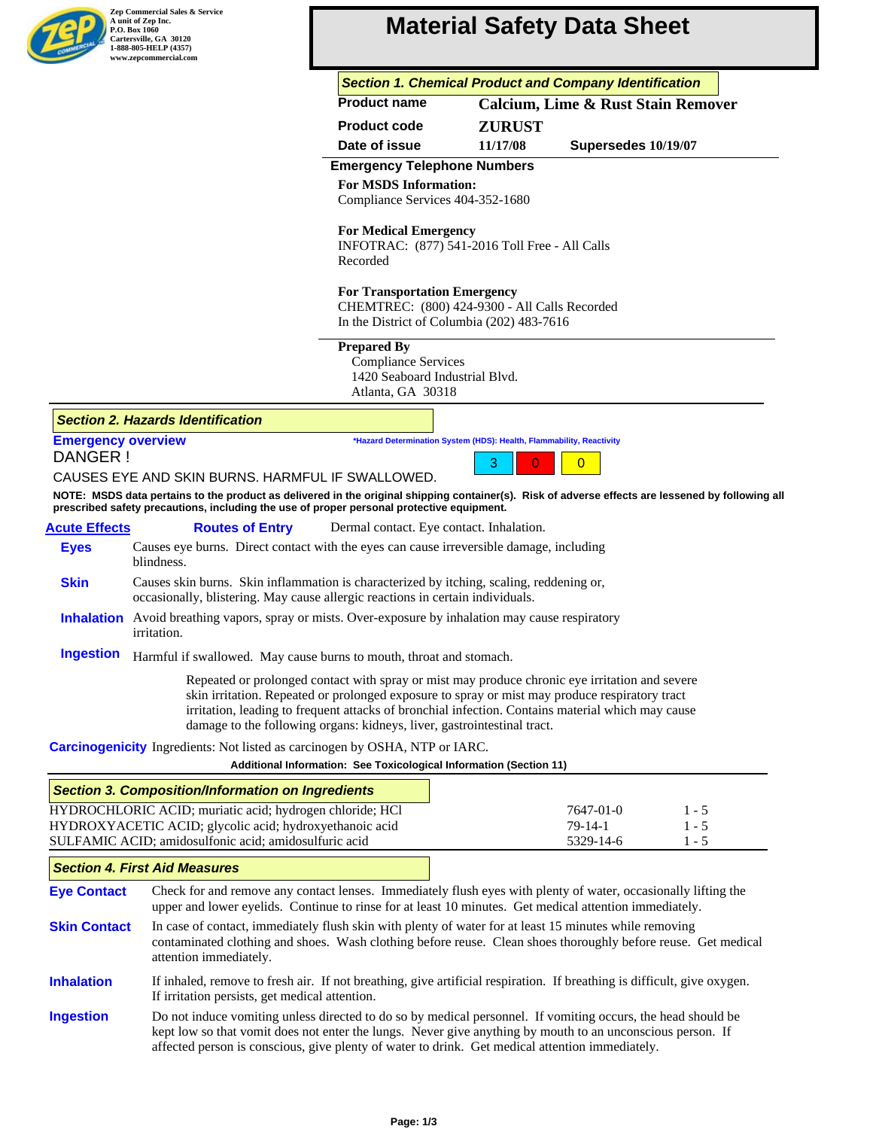# **Material Safety Data Sheet**

|  | <b>Section 1. Chemical Product and Company Identification</b> |  |  |  |  |
|--|---------------------------------------------------------------|--|--|--|--|
|  |                                                               |  |  |  |  |

| <b>Product name</b> | <b>Calcium, Lime &amp; Rust Stain Remover</b> |
|---------------------|-----------------------------------------------|
|---------------------|-----------------------------------------------|

| <b>Product code</b> | <b>ZURUST</b> |                     |
|---------------------|---------------|---------------------|
| Date of issue       | 11/17/08      | Supersedes 10/19/07 |

## **Emergency Telephone Numbers**

**For MSDS Information:** Compliance Services 404-352-1680

## **For Medical Emergency**

INFOTRAC: (877) 541-2016 Toll Free - All Calls Recorded

## **For Transportation Emergency**

CHEMTREC: (800) 424-9300 - All Calls Recorded In the District of Columbia (202) 483-7616

#### **Prepared By**

 Compliance Services 1420 Seaboard Industrial Blvd. Atlanta, GA 30318

## *Section 2. Hazards Identification*

| <b>Emergency overview</b> | *Hazard Determination System (HDS): Health, Flammability, Reactivity |  |  |  |  |
|---------------------------|----------------------------------------------------------------------|--|--|--|--|
| DANGER !                  | 3 0 0                                                                |  |  |  |  |

## CAUSES EYE AND SKIN BURNS. HARMFUL IF SWALLOWED.

**NOTE: MSDS data pertains to the product as delivered in the original shipping container(s). Risk of adverse effects are lessened by following all prescribed safety precautions, including the use of proper personal protective equipment.**

| <b>Acute Effects</b> | <b>Routes of Entry</b>                                                         | Dermal contact. Eye contact. Inhalation.                                                                                                                                                                                      |
|----------------------|--------------------------------------------------------------------------------|-------------------------------------------------------------------------------------------------------------------------------------------------------------------------------------------------------------------------------|
| <b>Eves</b>          | blindness.                                                                     | Causes eye burns. Direct contact with the eyes can cause irreversible damage, including                                                                                                                                       |
| <b>Skin</b>          | occasionally, blistering. May cause allergic reactions in certain individuals. | Causes skin burns. Skin inflammation is characterized by itching, scaling, reddening or,                                                                                                                                      |
|                      |                                                                                | In the contract of the contract of the contract of the contract of the contract of the contract of the contract of the contract of the contract of the contract of the contract of the contract of the contract of the contra |

- **Inhalation** Avoid breathing vapors, spray or mists. Over-exposure by inhalation may cause respiratory irritation.
- **Ingestion** Harmful if swallowed. May cause burns to mouth, throat and stomach.

Repeated or prolonged contact with spray or mist may produce chronic eye irritation and severe skin irritation. Repeated or prolonged exposure to spray or mist may produce respiratory tract irritation, leading to frequent attacks of bronchial infection. Contains material which may cause damage to the following organs: kidneys, liver, gastrointestinal tract.

## **Carcinogenicity** Ingredients: Not listed as carcinogen by OSHA, NTP or IARC.

| Additional Information: See Toxicological Information (Section 11) |         |
|--------------------------------------------------------------------|---------|
|                                                                    |         |
| 7647-01-0                                                          | $1 - 5$ |
| $79-14-1$                                                          | $1 - 5$ |
| 5329-14-6                                                          | $1 - 5$ |
|                                                                    |         |

## *Section 4. First Aid Measures*

**Eye Contact Skin Contact** Check for and remove any contact lenses. Immediately flush eyes with plenty of water, occasionally lifting the upper and lower eyelids. Continue to rinse for at least 10 minutes. Get medical attention immediately. In case of contact, immediately flush skin with plenty of water for at least 15 minutes while removing

- contaminated clothing and shoes. Wash clothing before reuse. Clean shoes thoroughly before reuse. Get medical attention immediately.
- **Inhalation** If inhaled, remove to fresh air. If not breathing, give artificial respiration. If breathing is difficult, give oxygen. If irritation persists, get medical attention.
- **Ingestion** Do not induce vomiting unless directed to do so by medical personnel. If vomiting occurs, the head should be kept low so that vomit does not enter the lungs. Never give anything by mouth to an unconscious person. If affected person is conscious, give plenty of water to drink. Get medical attention immediately.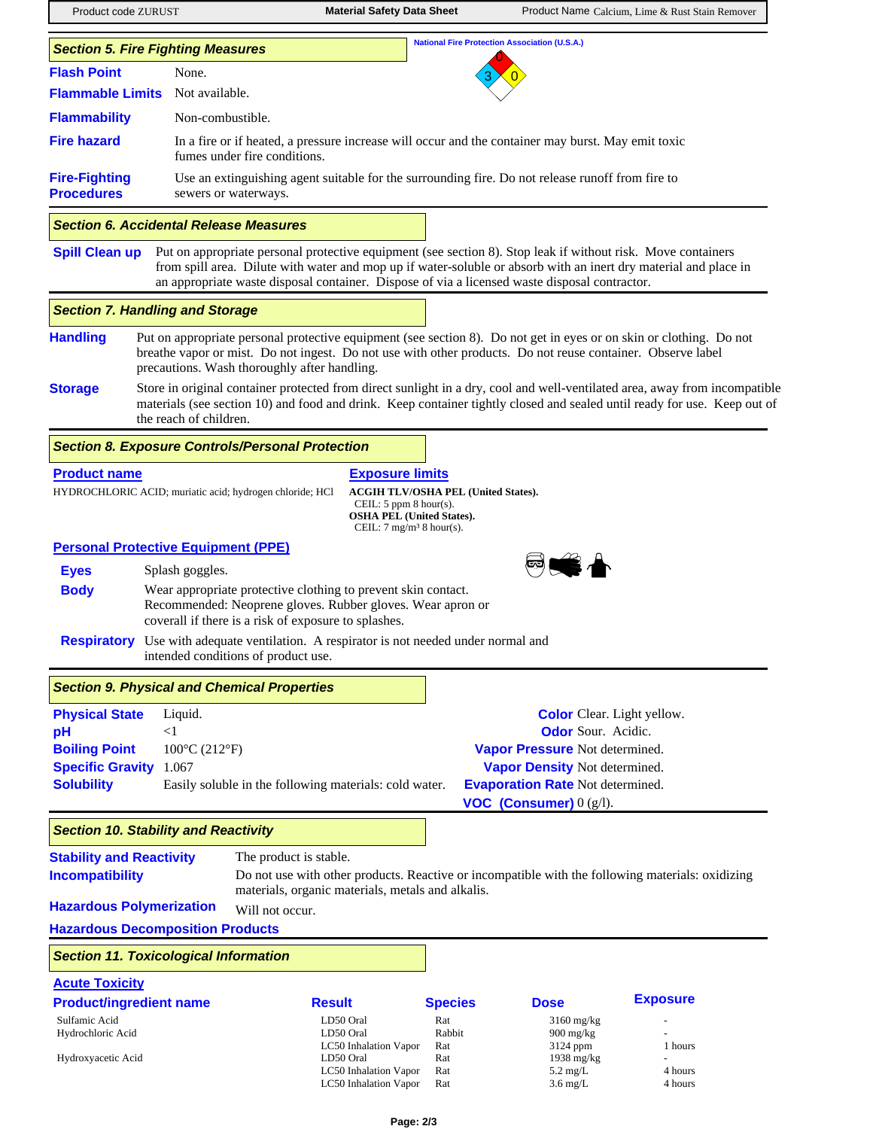**Product code ZURUST** Material Safety Data Sheet Product Name Calcium, Lime & Rust Stain Remover **Flash Point** None. Not available. **National Fire Protection Association (U.S.A.)** 3 0 0 **Flammable Limits Flammability Fire hazard** In a fire or if heated, a pressure increase will occur and the container may burst. May emit toxic fumes under fire conditions. Non-combustible. **Fire-Fighting Procedures** Use an extinguishing agent suitable for the surrounding fire. Do not release runoff from fire to sewers or waterways. *Section 5. Fire Fighting Measures* **Spill Clean up** Put on appropriate personal protective equipment (see section 8). Stop leak if without risk. Move containers from spill area. Dilute with water and mop up if water-soluble or absorb with an inert dry material and place in an appropriate waste disposal container. Dispose of via a licensed waste disposal contractor. *Section 6. Accidental Release Measures* **Handling Storage** Put on appropriate personal protective equipment (see section 8). Do not get in eyes or on skin or clothing. Do not breathe vapor or mist. Do not ingest. Do not use with other products. Do not reuse container. Observe label precautions. Wash thoroughly after handling. Store in original container protected from direct sunlight in a dry, cool and well-ventilated area, away from incompatible materials (see section 10) and food and drink. Keep container tightly closed and sealed until ready for use. Keep out of the reach of children. *Section 7. Handling and Storage* **Personal Protective Equipment (PPE) Eyes Body Respiratory** Use with adequate ventilation. A respirator is not needed under normal and **Product name Exposure limits** HYDROCHLORIC ACID; muriatic acid; hydrogen chloride; HCl **ACGIH TLV/OSHA PEL (United States).** CEIL: 5 ppm 8 hour(s). **OSHA PEL (United States).** CEIL:  $7 \text{ mg/m}^3 8 \text{ hour(s)}$ . Splash goggles. Wear appropriate protective clothing to prevent skin contact. Recommended: Neoprene gloves. Rubber gloves. Wear apron or coverall if there is a risk of exposure to splashes. intended conditions of product use. *Section 8. Exposure Controls/Personal Protection* **Physical State pH Boiling Point Specific Gravity Solubility** Liquid.  $<1$ 100°C (212°F) 1.067 **Color** Clear. Light yellow. **Odor** Sour. Acidic. **Vapor Pressure** Not determined. **Vapor Density** Not determined. **Evaporation Rate** Not determined. **VOC (Consumer)** 0 (g/l). Easily soluble in the following materials: cold water. *Section 9. Physical and Chemical Properties* The product is stable. Will not occur. **Stability and Reactivity Hazardous Decomposition Products Hazardous Polymerization** Do not use with other products. Reactive or incompatible with the following materials: oxidizing materials, organic materials, metals and alkalis. **Incompatibility** *Section 10. Stability and Reactivity* **Acute Toxicity Product/ingredient name Result Species Dose Exposure** Sulfamic Acid **Example 20** CD50 Oral Rat 3160 mg/kg -Hydrochloric Acid 1900 mg/kg LD50 Oral Rabbit 900 mg/kg - 2124 ppm *Section 11. Toxicological Information*

Hydroxyacetic Acid LD50 Oral Rat

LC50 Inhalation Vapor Rat 3124 ppm 1 hours

LC50 Inhalation Vapor Rat 5.2 mg/L 4 hours LC50 Inhalation Vapor Rat 3.6 mg/L 4 hours